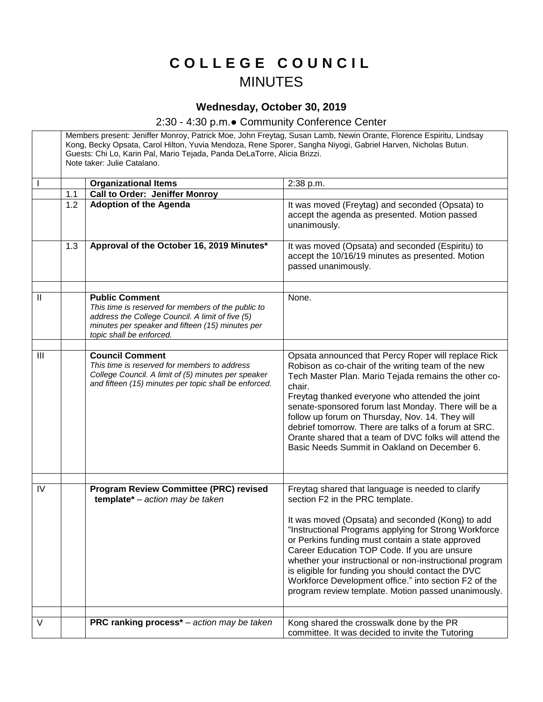## **C O L L E G E C O U N C I L** MINUTES

## **Wednesday, October 30, 2019**

## 2:30 - 4:30 p.m.● Community Conference Center

Members present: Jeniffer Monroy, Patrick Moe, John Freytag, Susan Lamb, Newin Orante, Florence Espiritu, Lindsay Kong, Becky Opsata, Carol Hilton, Yuvia Mendoza, Rene Sporer, Sangha Niyogi, Gabriel Harven, Nicholas Butun. Guests: Chi Lo, Karin Pal, Mario Tejada, Panda DeLaTorre, Alicia Brizzi. Note taker: Julie Catalano. **Organizational Items** 2:38 p.m. 1.1 **Call to Order: Jeniffer Monroy** 1.2 **Adoption of the Agenda It was moved (Freytag) and seconded (Opsata) to** accept the agenda as presented. Motion passed unanimously. 1.3 **Approval of the October 16, 2019 Minutes\*** It was moved (Opsata) and seconded (Espiritu) to accept the 10/16/19 minutes as presented. Motion passed unanimously. II **Public Comment** *This time is reserved for members of the public to address the College Council. A limit of five (5) minutes per speaker and fifteen (15) minutes per topic shall be enforced.*  None. III **Council Comment** *This time is reserved for members to address College Council. A limit of (5) minutes per speaker and fifteen (15) minutes per topic shall be enforced.* Opsata announced that Percy Roper will replace Rick Robison as co-chair of the writing team of the new Tech Master Plan. Mario Tejada remains the other cochair. Freytag thanked everyone who attended the joint senate-sponsored forum last Monday. There will be a follow up forum on Thursday, Nov. 14. They will debrief tomorrow. There are talks of a forum at SRC. Orante shared that a team of DVC folks will attend the Basic Needs Summit in Oakland on December 6. IV **Program Review Committee (PRC) revised template\*** – *action may be taken* Freytag shared that language is needed to clarify section F2 in the PRC template. It was moved (Opsata) and seconded (Kong) to add "Instructional Programs applying for Strong Workforce or Perkins funding must contain a state approved Career Education TOP Code. If you are unsure whether your instructional or non-instructional program is eligible for funding you should contact the DVC Workforce Development office." into section F2 of the program review template. Motion passed unanimously. V **PRC ranking process**\* – *action may be taken* Kong shared the crosswalk done by the PR committee. It was decided to invite the Tutoring